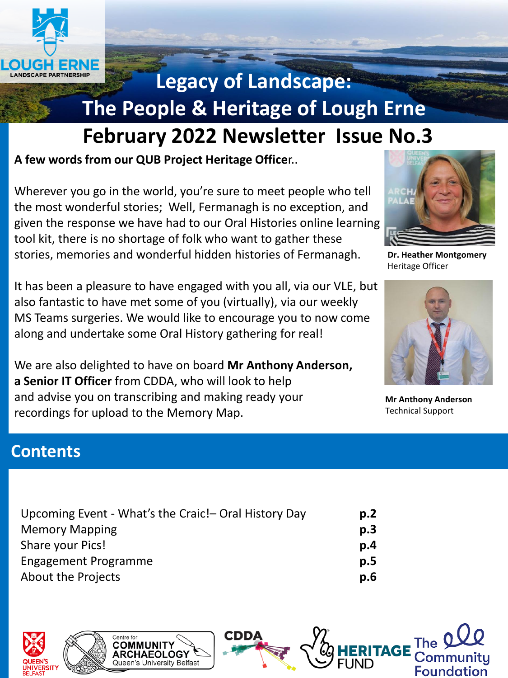

# **Legacy of Landscape: The People & Heritage of Lough Erne**

# **February 2022 Newsletter Issue No.3**

**A few words from our QUB Project Heritage Office**r..

Wherever you go in the world, you're sure to meet people who tell the most wonderful stories; Well, Fermanagh is no exception, and given the response we have had to our Oral Histories online learning tool kit, there is no shortage of folk who want to gather these stories, memories and wonderful hidden histories of Fermanagh.

It has been a pleasure to have engaged with you all, via our VLE, but also fantastic to have met some of you (virtually), via our weekly MS Teams surgeries. We would like to encourage you to now come along and undertake some Oral History gathering for real!

We are also delighted to have on board **Mr Anthony Anderson, a Senior IT Officer** from CDDA, who will look to help and advise you on transcribing and making ready your recordings for upload to the Memory Map.



**Dr. Heather Montgomery** Heritage Officer



**Mr Anthony Anderson** Technical Support

**The** 

Communitu

**Foundation** 

## **Contents**

| Upcoming Event - What's the Craic! - Oral History Day | p.2 |
|-------------------------------------------------------|-----|
| <b>Memory Mapping</b>                                 | p.3 |
| Share your Pics!                                      | p.4 |
| Engagement Programme                                  | p.5 |
| <b>About the Projects</b>                             | p.6 |



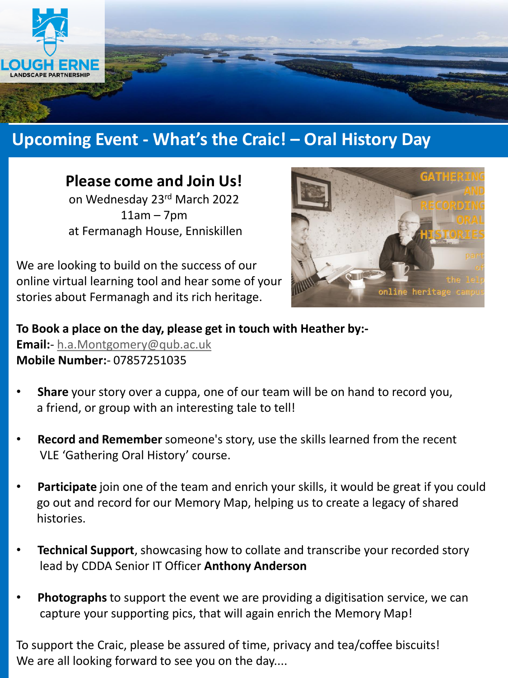

# **Upcoming Event - What's the Craic! – Oral History Day**

### **Please come and Join Us!**

on Wednesday 23rd March 2022  $11am - 7pm$ at Fermanagh House, Enniskillen

We are looking to build on the success of our online virtual learning tool and hear some of your stories about Fermanagh and its rich heritage.



**To Book a place on the day, please get in touch with Heather by:- Email:**- [h.a.Montgomery@qub.ac.uk](mailto:h.a.Montgomery@qub.ac.uk) **Mobile Number:**- 07857251035

- **Share** your story over a cuppa, one of our team will be on hand to record you, a friend, or group with an interesting tale to tell!
- **Record and Remember** someone's story, use the skills learned from the recent VLE 'Gathering Oral History' course.
- **Participate** join one of the team and enrich your skills, it would be great if you could go out and record for our Memory Map, helping us to create a legacy of shared histories.
- **Technical Support**, showcasing how to collate and transcribe your recorded story lead by CDDA Senior IT Officer **Anthony Anderson**
- **Photographs** to support the event we are providing a digitisation service, we can capture your supporting pics, that will again enrich the Memory Map!

To support the Craic, please be assured of time, privacy and tea/coffee biscuits! We are all looking forward to see you on the day....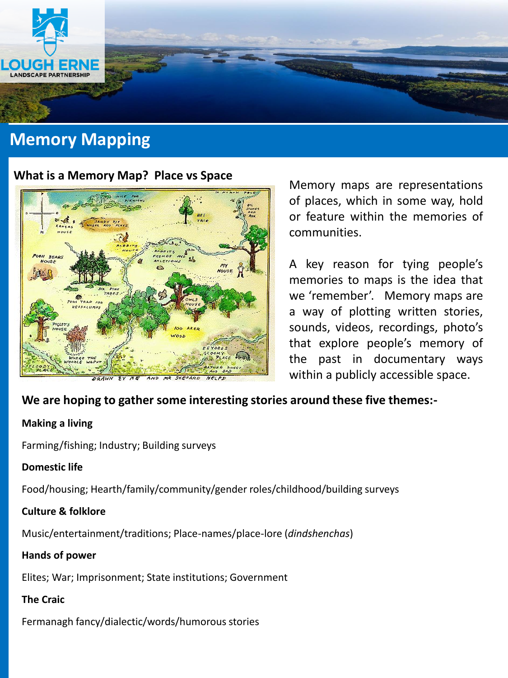

# **Memory Mapping**

#### **What is a Memory Map? Place vs Space**



Memory maps are representations of places, which in some way, hold or feature within the memories of communities.

A key reason for tying people's memories to maps is the idea that we 'remember'. Memory maps are a way of plotting written stories, sounds, videos, recordings, photo's that explore people's memory of the past in documentary ways within a publicly accessible space.

#### **We are hoping to gather some interesting stories around these five themes:-**

#### **Making a living**

Farming/fishing; Industry; Building surveys

#### **Domestic life**

Food/housing; Hearth/family/community/gender roles/childhood/building surveys

#### **Culture & folklore**

Music/entertainment/traditions; Place-names/place-lore (*dindshenchas*)

#### **Hands of power**

Elites; War; Imprisonment; State institutions; Government

#### **The Craic**

Fermanagh fancy/dialectic/words/humorous stories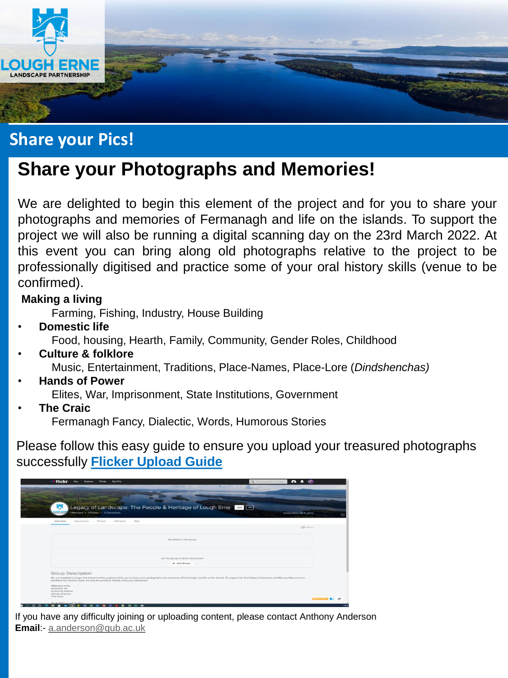

# **Share your Pics!**

# **Share your Photographs and Memories!**

We are delighted to begin this element of the project and for you to share your photographs and memories of Fermanagh and life on the islands. To support the project we will also be running a digital scanning day on the 23rd March 2022. At this event you can bring along old photographs relative to the project to be professionally digitised and practice some of your oral history skills (venue to be confirmed).

#### **Making a living**

Farming, Fishing, Industry, House Building

- **Domestic life** Food, housing, Hearth, Family, Community, Gender Roles, Childhood
- **Culture & folklore** Music, Entertainment, Traditions, Place-Names, Place-Lore (*Dindshenchas)*
- **Hands of Power** Elites, War, Imprisonment, State Institutions, Government
- **The Craic**

Fermanagh Fancy, Dialectic, Words, Humorous Stories

Please follow this easy guide to ensure you upload your treasured photographs successfully **[Flicker Upload Guide](https://drive.google.com/file/d/1p6_wNVxhpGKIA3Fqj8SQuikJB3rfO39N/view?usp=sharing)**

| Legacy of Landscape: The People & Heritage of Lough Erne Land<br>1Members - O Photos - O Discussions<br>Map<br>Overview.<br>Originizione.<br>Photos<br>Montiars.<br>No photos in this group                                                                                                        | Group Since Jan 1, 2022<br>$\phi$ sum                                                                                       |
|----------------------------------------------------------------------------------------------------------------------------------------------------------------------------------------------------------------------------------------------------------------------------------------------------|-----------------------------------------------------------------------------------------------------------------------------|
|                                                                                                                                                                                                                                                                                                    |                                                                                                                             |
|                                                                                                                                                                                                                                                                                                    |                                                                                                                             |
|                                                                                                                                                                                                                                                                                                    |                                                                                                                             |
|                                                                                                                                                                                                                                                                                                    |                                                                                                                             |
|                                                                                                                                                                                                                                                                                                    |                                                                                                                             |
|                                                                                                                                                                                                                                                                                                    |                                                                                                                             |
|                                                                                                                                                                                                                                                                                                    |                                                                                                                             |
| Join the group to start a discussion!                                                                                                                                                                                                                                                              |                                                                                                                             |
| $+$ Join Group                                                                                                                                                                                                                                                                                     |                                                                                                                             |
| Group Description                                                                                                                                                                                                                                                                                  |                                                                                                                             |
| We are deligitied to begin this element of the project and for you to share your photographs and memories of Fermanagh and life on the islands. To support the Oral History Collections and Memory Map we have<br>identified five themes, these are only for guidance. Please share your Memories! |                                                                                                                             |
| -Making a living<br>-Domestic life                                                                                                                                                                                                                                                                 |                                                                                                                             |
| «Culture & folklore<br>«Hands of power                                                                                                                                                                                                                                                             |                                                                                                                             |
| -The Craig                                                                                                                                                                                                                                                                                         | <b><i>Committee Committee Committee Committee Committee Committee Committee Committee Committee Committee Committee</i></b> |

If you have any difficulty joining or uploading content, please contact Anthony Anderson **Email**:- [a.anderson@qub.ac.uk](mailto:a.Anderson@qub.ac.uk)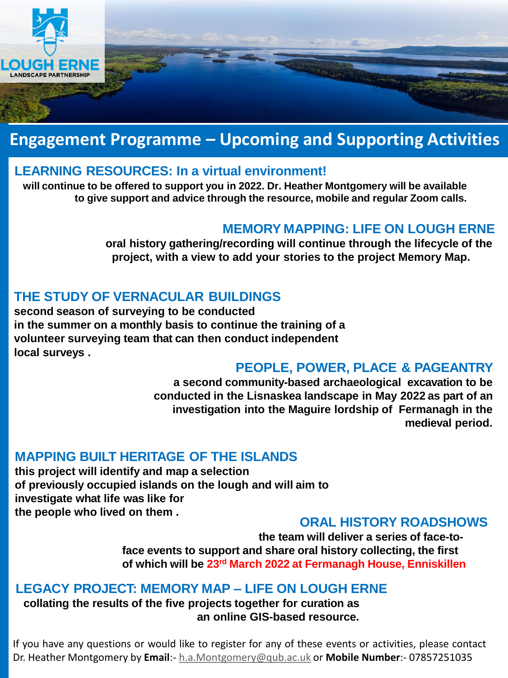

# **Engagement Programme – Upcoming and Supporting Activities**

### **LEARNING RESOURCES: In a virtual environment!**

**will continue to be offered to support you in 2022. Dr. Heather Montgomery will be available to give support and advice through the resource, mobile and regular Zoom calls.**

### **MEMORY MAPPING: LIFE ON LOUGH ERNE**

**oral history gathering/recording will continue through the lifecycle of the project, with a view to add your stories to the project Memory Map.** 

### **THE STUDY OF VERNACULAR BUILDINGS**

**second season of surveying to be conducted in the summer on a monthly basis to continue the training of a volunteer surveying team that can then conduct independent local surveys .**

### **PEOPLE, POWER, PLACE & PAGEANTRY**

**a second community-based archaeological excavation to be conducted in the Lisnaskea landscape in May 2022 as part of an investigation into the Maguire lordship of Fermanagh in the medieval period.**

### **MAPPING BUILT HERITAGE OF THE ISLANDS**

**this project will identify and map a selection of previously occupied islands on the lough and will aim to investigate what life was like for the people who lived on them .**

### **ORAL HISTORY ROADSHOWS**

**the team will deliver a series of face-toface events to support and share oral history collecting, the first of which will be 23rd March 2022 at Fermanagh House, Enniskillen**

### **LEGACY PROJECT: MEMORY MAP – LIFE ON LOUGH ERNE**

**collating the results of the five projects together for curation as an online GIS-based resource.**

If you have any questions or would like to register for any of these events or activities, please contact Dr. Heather Montgomery by **Email**:- [h.a.Montgomery@qub.ac.uk](mailto:h.a.Montgomery@qub.ac.uk) or **Mobile Number**:- 07857251035